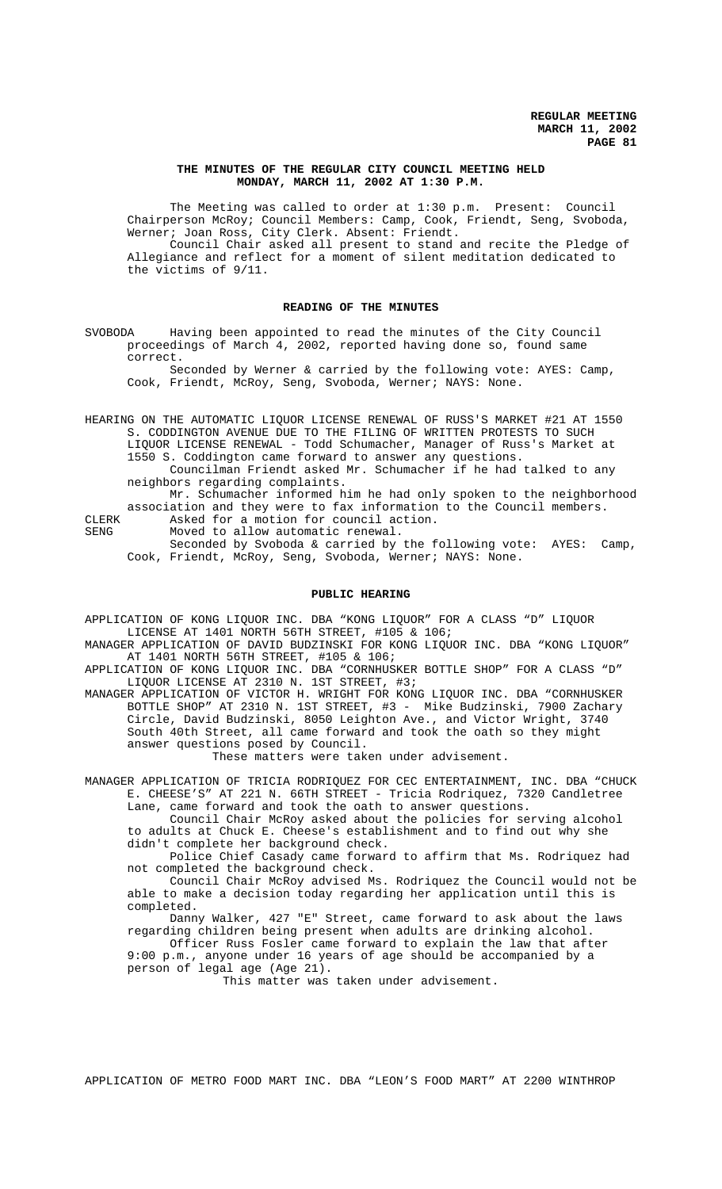### **THE MINUTES OF THE REGULAR CITY COUNCIL MEETING HELD MONDAY, MARCH 11, 2002 AT 1:30 P.M.**

The Meeting was called to order at 1:30 p.m. Present: Council Chairperson McRoy; Council Members: Camp, Cook, Friendt, Seng, Svoboda, Werner; Joan Ross, City Clerk. Absent: Friendt. Council Chair asked all present to stand and recite the Pledge of Allegiance and reflect for a moment of silent meditation dedicated to the victims of 9/11.

### **READING OF THE MINUTES**

SVOBODA Having been appointed to read the minutes of the City Council proceedings of March 4, 2002, reported having done so, found same correct.

Seconded by Werner & carried by the following vote: AYES: Camp, Cook, Friendt, McRoy, Seng, Svoboda, Werner; NAYS: None.

HEARING ON THE AUTOMATIC LIQUOR LICENSE RENEWAL OF RUSS'S MARKET #21 AT 1550 S. CODDINGTON AVENUE DUE TO THE FILING OF WRITTEN PROTESTS TO SUCH LIQUOR LICENSE RENEWAL - Todd Schumacher, Manager of Russ's Market at 1550 S. Coddington came forward to answer any questions. Councilman Friendt asked Mr. Schumacher if he had talked to any neighbors regarding complaints.

Mr. Schumacher informed him he had only spoken to the neighborhood association and they were to fax information to the Council members. CLERK Asked for a motion for council action.

SENG Moved to allow automatic renewal.

Seconded by Svoboda & carried by the following vote: AYES: Camp, Cook, Friendt, McRoy, Seng, Svoboda, Werner; NAYS: None.

### **PUBLIC HEARING**

APPLICATION OF KONG LIQUOR INC. DBA "KONG LIQUOR" FOR A CLASS "D" LIQUOR LICENSE AT 1401 NORTH 56TH STREET, #105 & 106;

MANAGER APPLICATION OF DAVID BUDZINSKI FOR KONG LIQUOR INC. DBA "KONG LIQUOR" AT 1401 NORTH 56TH STREET, #105 & 106;

APPLICATION OF KONG LIQUOR INC. DBA "CORNHUSKER BOTTLE SHOP" FOR A CLASS "D" LIQUOR LICENSE AT 2310 N. 1ST STREET, #3;

MANAGER APPLICATION OF VICTOR H. WRIGHT FOR KONG LIQUOR INC. DBA "CORNHUSKER BOTTLE SHOP" AT 2310 N. 1ST STREET, #3 - Mike Budzinski, 7900 Zachary Circle, David Budzinski, 8050 Leighton Ave., and Victor Wright, 3740 South 40th Street, all came forward and took the oath so they might answer questions posed by Council.

These matters were taken under advisement.

MANAGER APPLICATION OF TRICIA RODRIQUEZ FOR CEC ENTERTAINMENT, INC. DBA "CHUCK E. CHEESE'S" AT 221 N. 66TH STREET - Tricia Rodriquez, 7320 Candletree Lane, came forward and took the oath to answer questions.

Council Chair McRoy asked about the policies for serving alcohol to adults at Chuck E. Cheese's establishment and to find out why she didn't complete her background check.

Police Chief Casady came forward to affirm that Ms. Rodriquez had not completed the background check.

Council Chair McRoy advised Ms. Rodriquez the Council would not be able to make a decision today regarding her application until this is completed.

Danny Walker, 427 "E" Street, came forward to ask about the laws regarding children being present when adults are drinking alcohol.

Officer Russ Fosler came forward to explain the law that after 9:00 p.m., anyone under 16 years of age should be accompanied by a person of legal age (Age 21).

This matter was taken under advisement.

APPLICATION OF METRO FOOD MART INC. DBA "LEON'S FOOD MART" AT 2200 WINTHROP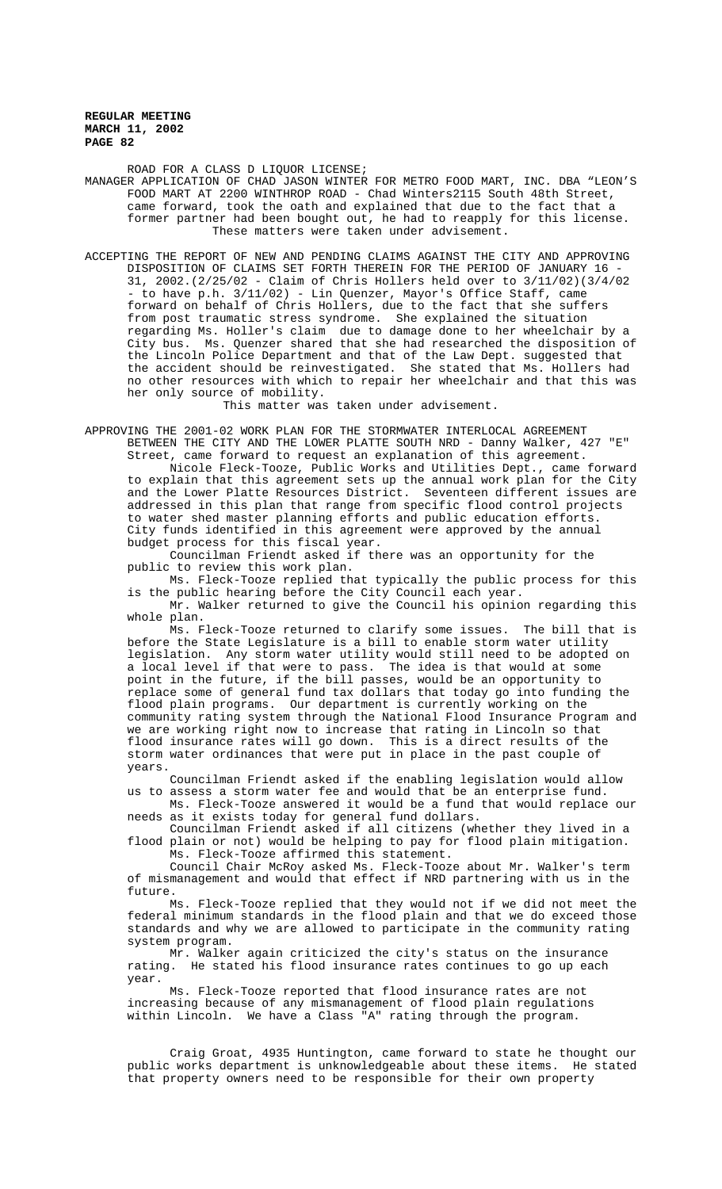ROAD FOR A CLASS D LIQUOR LICENSE; MANAGER APPLICATION OF CHAD JASON WINTER FOR METRO FOOD MART, INC. DBA "LEON'S FOOD MART AT 2200 WINTHROP ROAD - Chad Winters2115 South 48th Street, came forward, took the oath and explained that due to the fact that a former partner had been bought out, he had to reapply for this license. These matters were taken under advisement.

ACCEPTING THE REPORT OF NEW AND PENDING CLAIMS AGAINST THE CITY AND APPROVING DISPOSITION OF CLAIMS SET FORTH THEREIN FOR THE PERIOD OF JANUARY 16 - 31, 2002.(2/25/02 - Claim of Chris Hollers held over to 3/11/02)(3/4/02 - to have p.h. 3/11/02) - Lin Quenzer, Mayor's Office Staff, came forward on behalf of Chris Hollers, due to the fact that she suffers from post traumatic stress syndrome. She explained the situation regarding Ms. Holler's claim due to damage done to her wheelchair by a City bus. Ms. Quenzer shared that she had researched the disposition of the Lincoln Police Department and that of the Law Dept. suggested that the accident should be reinvestigated. She stated that Ms. Hollers had no other resources with which to repair her wheelchair and that this was her only source of mobility.

This matter was taken under advisement.

APPROVING THE 2001-02 WORK PLAN FOR THE STORMWATER INTERLOCAL AGREEMENT BETWEEN THE CITY AND THE LOWER PLATTE SOUTH NRD - Danny Walker, 427 "E" Street, came forward to request an explanation of this agreement.

Nicole Fleck-Tooze, Public Works and Utilities Dept., came forward to explain that this agreement sets up the annual work plan for the City and the Lower Platte Resources District. Seventeen different issues are addressed in this plan that range from specific flood control projects to water shed master planning efforts and public education efforts. City funds identified in this agreement were approved by the annual budget process for this fiscal year.

Councilman Friendt asked if there was an opportunity for the public to review this work plan.

Ms. Fleck-Tooze replied that typically the public process for this is the public hearing before the City Council each year.

Mr. Walker returned to give the Council his opinion regarding this whole plan.

Ms. Fleck-Tooze returned to clarify some issues. The bill that is before the State Legislature is a bill to enable storm water utility legislation. Any storm water utility would still need to be adopted on a local level if that were to pass. The idea is that would at some point in the future, if the bill passes, would be an opportunity to replace some of general fund tax dollars that today go into funding the flood plain programs. Our department is currently working on the community rating system through the National Flood Insurance Program and we are working right now to increase that rating in Lincoln so that flood insurance rates will go down. This is a direct results of the storm water ordinances that were put in place in the past couple of years.

Councilman Friendt asked if the enabling legislation would allow us to assess a storm water fee and would that be an enterprise fund.

Ms. Fleck-Tooze answered it would be a fund that would replace our needs as it exists today for general fund dollars.

Councilman Friendt asked if all citizens (whether they lived in a flood plain or not) would be helping to pay for flood plain mitigation. Ms. Fleck-Tooze affirmed this statement.

Council Chair McRoy asked Ms. Fleck-Tooze about Mr. Walker's term of mismanagement and would that effect if NRD partnering with us in the future.

Ms. Fleck-Tooze replied that they would not if we did not meet the federal minimum standards in the flood plain and that we do exceed those standards and why we are allowed to participate in the community rating system program.

Mr. Walker again criticized the city's status on the insurance rating. He stated his flood insurance rates continues to go up each year.

Ms. Fleck-Tooze reported that flood insurance rates are not increasing because of any mismanagement of flood plain regulations within Lincoln. We have a Class "A" rating through the program.

Craig Groat, 4935 Huntington, came forward to state he thought our public works department is unknowledgeable about these items. He stated that property owners need to be responsible for their own property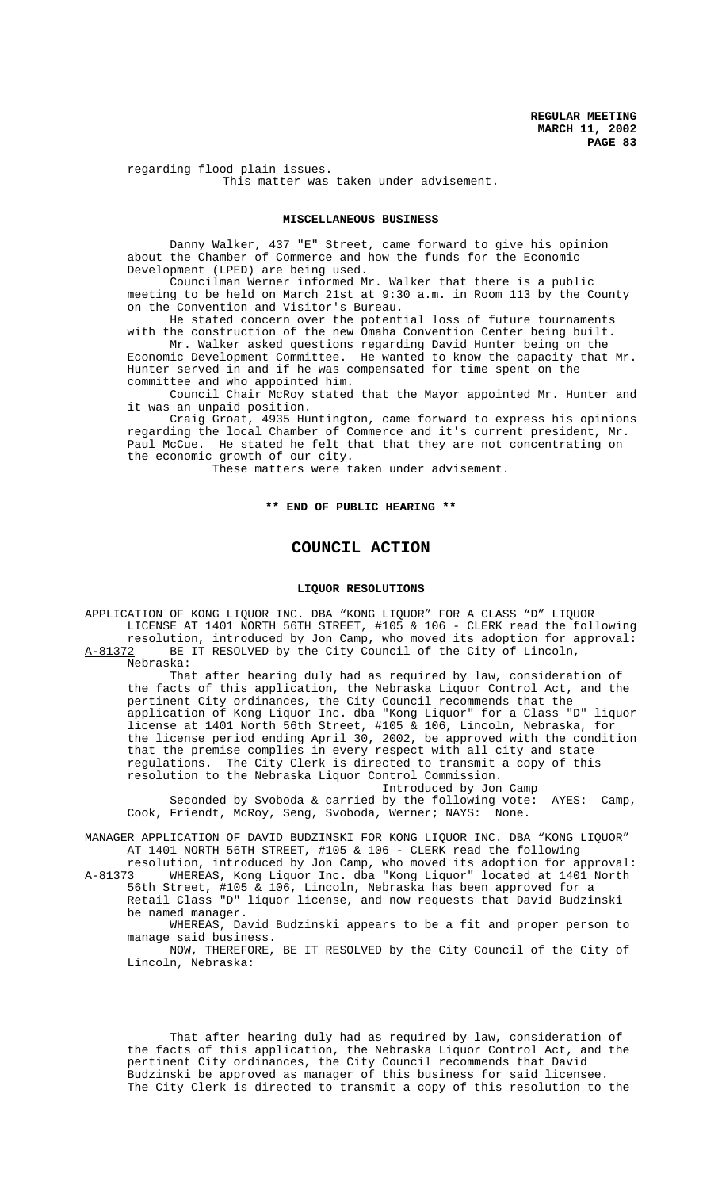regarding flood plain issues. This matter was taken under advisement.

### **MISCELLANEOUS BUSINESS**

Danny Walker, 437 "E" Street, came forward to give his opinion about the Chamber of Commerce and how the funds for the Economic Development (LPED) are being used.

Councilman Werner informed Mr. Walker that there is a public meeting to be held on March 21st at 9:30 a.m. in Room 113 by the County on the Convention and Visitor's Bureau.

He stated concern over the potential loss of future tournaments with the construction of the new Omaha Convention Center being built.

Mr. Walker asked questions regarding David Hunter being on the Economic Development Committee. He wanted to know the capacity that Mr. Hunter served in and if he was compensated for time spent on the committee and who appointed him.

Council Chair McRoy stated that the Mayor appointed Mr. Hunter and it was an unpaid position.

Craig Groat, 4935 Huntington, came forward to express his opinions regarding the local Chamber of Commerce and it's current president, Mr. Paul McCue. He stated he felt that that they are not concentrating on the economic growth of our city.

These matters were taken under advisement.

# **\*\* END OF PUBLIC HEARING \*\***

# **COUNCIL ACTION**

## **LIQUOR RESOLUTIONS**

APPLICATION OF KONG LIQUOR INC. DBA "KONG LIQUOR" FOR A CLASS "D" LIQUOR LICENSE AT 1401 NORTH 56TH STREET, #105 & 106 - CLERK read the following resolution, introduced by Jon Camp, who moved its adoption for approval: A-81372 BE IT RESOLVED by the City Council of the City of Lincoln, Nebraska:

That after hearing duly had as required by law, consideration of the facts of this application, the Nebraska Liquor Control Act, and the pertinent City ordinances, the City Council recommends that the application of Kong Liquor Inc. dba "Kong Liquor" for a Class "D" liquor license at 1401 North 56th Street, #105 & 106, Lincoln, Nebraska, for the license period ending April 30, 2002, be approved with the condition that the premise complies in every respect with all city and state regulations. The City Clerk is directed to transmit a copy of this resolution to the Nebraska Liquor Control Commission.

Introduced by Jon Camp Seconded by Svoboda & carried by the following vote: AYES: Camp, Cook, Friendt, McRoy, Seng, Svoboda, Werner; NAYS: None.

MANAGER APPLICATION OF DAVID BUDZINSKI FOR KONG LIQUOR INC. DBA "KONG LIQUOR" AT 1401 NORTH 56TH STREET, #105 & 106 - CLERK read the following

resolution, introduced by Jon Camp, who moved its adoption for approval: A-81373 WHEREAS, Kong Liquor Inc. dba "Kong Liquor" located at 1401 North 56th Street, #105 & 106, Lincoln, Nebraska has been approved for a Retail Class "D" liquor license, and now requests that David Budzinski

be named manager. WHEREAS, David Budzinski appears to be a fit and proper person to

manage said business.

NOW, THEREFORE, BE IT RESOLVED by the City Council of the City of Lincoln, Nebraska:

That after hearing duly had as required by law, consideration of the facts of this application, the Nebraska Liquor Control Act, and the pertinent City ordinances, the City Council recommends that David Budzinski be approved as manager of this business for said licensee. The City Clerk is directed to transmit a copy of this resolution to the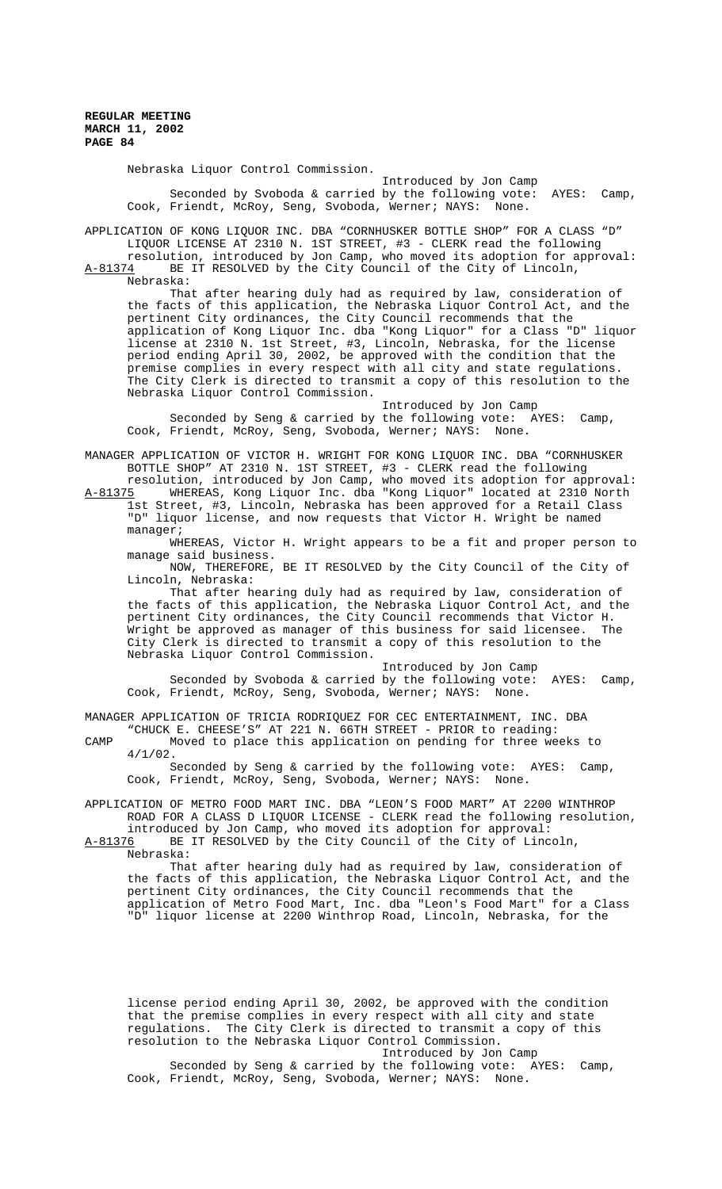Nebraska Liquor Control Commission.

Introduced by Jon Camp Seconded by Svoboda & carried by the following vote: AYES: Camp, Cook, Friendt, McRoy, Seng, Svoboda, Werner; NAYS: None.

APPLICATION OF KONG LIQUOR INC. DBA "CORNHUSKER BOTTLE SHOP" FOR A CLASS "D" LIQUOR LICENSE AT 2310 N. 1ST STREET, #3 - CLERK read the following resolution, introduced by Jon Camp, who moved its adoption for approval:

A-81374 BE IT RESOLVED by the City Council of the City of Lincoln, Nebraska:

That after hearing duly had as required by law, consideration of the facts of this application, the Nebraska Liquor Control Act, and the pertinent City ordinances, the City Council recommends that the application of Kong Liquor Inc. dba "Kong Liquor" for a Class "D" liquor license at 2310 N. 1st Street, #3, Lincoln, Nebraska, for the license period ending April 30, 2002, be approved with the condition that the premise complies in every respect with all city and state regulations. The City Clerk is directed to transmit a copy of this resolution to the Nebraska Liquor Control Commission.

Introduced by Jon Camp Seconded by Seng & carried by the following vote: AYES: Camp, Cook, Friendt, McRoy, Seng, Svoboda, Werner; NAYS: None.

MANAGER APPLICATION OF VICTOR H. WRIGHT FOR KONG LIQUOR INC. DBA "CORNHUSKER BOTTLE SHOP" AT 2310 N. 1ST STREET, #3 - CLERK read the following resolution, introduced by Jon Camp, who moved its adoption for approval:

A-81375 WHEREAS, Kong Liquor Inc. dba "Kong Liquor" located at 2310 North 1st Street, #3, Lincoln, Nebraska has been approved for a Retail Class "D" liquor license, and now requests that Victor H. Wright be named manager;

WHEREAS, Victor H. Wright appears to be a fit and proper person to manage said business.

NOW, THEREFORE, BE IT RESOLVED by the City Council of the City of Lincoln, Nebraska:

That after hearing duly had as required by law, consideration of the facts of this application, the Nebraska Liquor Control Act, and the pertinent City ordinances, the City Council recommends that Victor H. Wright be approved as manager of this business for said licensee. City Clerk is directed to transmit a copy of this resolution to the Nebraska Liquor Control Commission.

Introduced by Jon Camp

Seconded by Svoboda & carried by the following vote: AYES: Camp, Cook, Friendt, McRoy, Seng, Svoboda, Werner; NAYS: None.

MANAGER APPLICATION OF TRICIA RODRIQUEZ FOR CEC ENTERTAINMENT, INC. DBA "CHUCK E. CHEESE'S" AT 221 N. 66TH STREET - PRIOR to reading:

CAMP Moved to place this application on pending for three weeks to 4/1/02.

Seconded by Seng & carried by the following vote: AYES: Camp, Cook, Friendt, McRoy, Seng, Svoboda, Werner; NAYS: None.

APPLICATION OF METRO FOOD MART INC. DBA "LEON'S FOOD MART" AT 2200 WINTHROP ROAD FOR A CLASS D LIQUOR LICENSE - CLERK read the following resolution, introduced by Jon Camp, who moved its adoption for approval:

A-81376 BE IT RESOLVED by the City Council of the City of Lincoln, Nebraska:

That after hearing duly had as required by law, consideration of the facts of this application, the Nebraska Liquor Control Act, and the pertinent City ordinances, the City Council recommends that the application of Metro Food Mart, Inc. dba "Leon's Food Mart" for a Class "D" liquor license at 2200 Winthrop Road, Lincoln, Nebraska, for the

license period ending April 30, 2002, be approved with the condition that the premise complies in every respect with all city and state regulations. The City Clerk is directed to transmit a copy of this resolution to the Nebraska Liquor Control Commission. Introduced by Jon Camp Seconded by Seng & carried by the following vote: AYES: Camp, Cook, Friendt, McRoy, Seng, Svoboda, Werner; NAYS: None.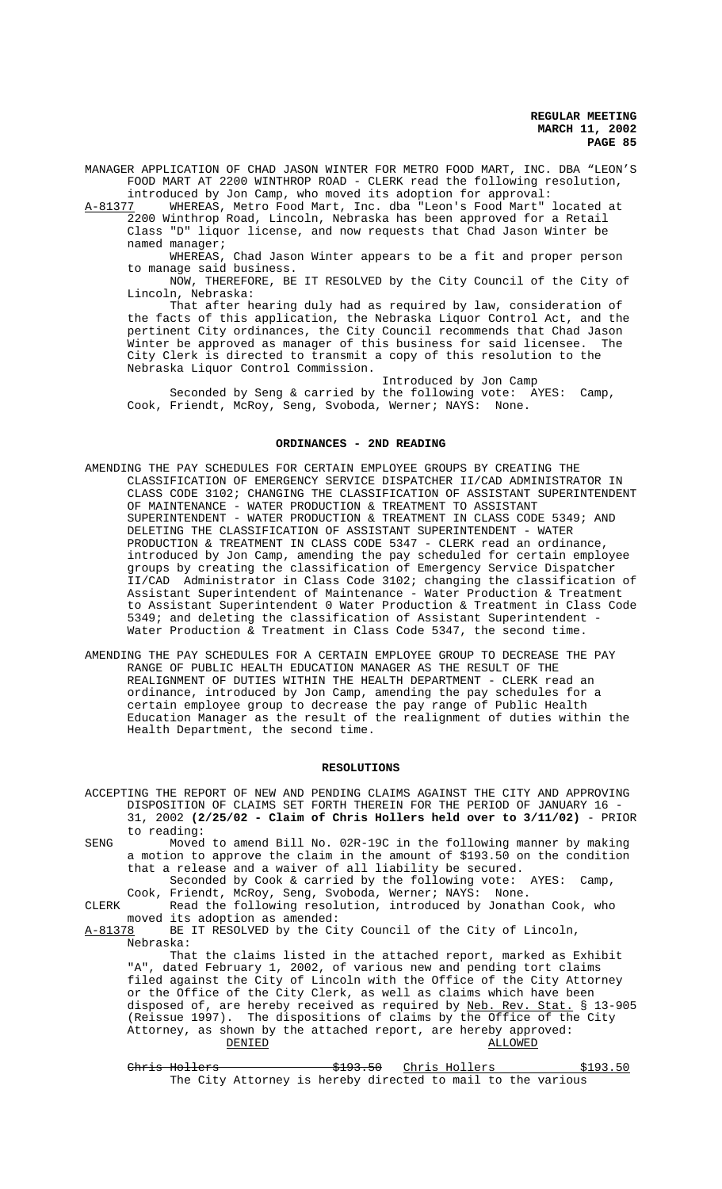MANAGER APPLICATION OF CHAD JASON WINTER FOR METRO FOOD MART, INC. DBA "LEON'S FOOD MART AT 2200 WINTHROP ROAD - CLERK read the following resolution,

introduced by Jon Camp, who moved its adoption for approval:<br>A-81377 WHEREAS, Metro Food Mart, Inc. dba "Leon's Food Mart" A-81377 MHEREAS, Metro Food Mart, Inc. dba "Leon's Food Mart" located at 2200 Winthrop Road, Lincoln, Nebraska has been approved for a Retail Class "D" liquor license, and now requests that Chad Jason Winter be named manager;

WHEREAS, Chad Jason Winter appears to be a fit and proper person to manage said business.

NOW, THEREFORE, BE IT RESOLVED by the City Council of the City of Lincoln, Nebraska:

That after hearing duly had as required by law, consideration of the facts of this application, the Nebraska Liquor Control Act, and the pertinent City ordinances, the City Council recommends that Chad Jason<br>Winter be approved as manager of this business for said licensee. The Winter be approved as manager of this business for said licensee. City Clerk is directed to transmit a copy of this resolution to the Nebraska Liquor Control Commission.

Introduced by Jon Camp Seconded by Seng & carried by the following vote: AYES: Camp, Cook, Friendt, McRoy, Seng, Svoboda, Werner; NAYS: None.

### **ORDINANCES - 2ND READING**

- AMENDING THE PAY SCHEDULES FOR CERTAIN EMPLOYEE GROUPS BY CREATING THE CLASSIFICATION OF EMERGENCY SERVICE DISPATCHER II/CAD ADMINISTRATOR IN CLASS CODE 3102; CHANGING THE CLASSIFICATION OF ASSISTANT SUPERINTENDENT OF MAINTENANCE - WATER PRODUCTION & TREATMENT TO ASSISTANT SUPERINTENDENT - WATER PRODUCTION & TREATMENT IN CLASS CODE 5349; AND DELETING THE CLASSIFICATION OF ASSISTANT SUPERINTENDENT - WATER PRODUCTION & TREATMENT IN CLASS CODE 5347 - CLERK read an ordinance, introduced by Jon Camp, amending the pay scheduled for certain employee groups by creating the classification of Emergency Service Dispatcher II/CAD Administrator in Class Code 3102; changing the classification of Assistant Superintendent of Maintenance - Water Production & Treatment to Assistant Superintendent 0 Water Production & Treatment in Class Code 5349; and deleting the classification of Assistant Superintendent - Water Production & Treatment in Class Code 5347, the second time.
- AMENDING THE PAY SCHEDULES FOR A CERTAIN EMPLOYEE GROUP TO DECREASE THE PAY RANGE OF PUBLIC HEALTH EDUCATION MANAGER AS THE RESULT OF THE REALIGNMENT OF DUTIES WITHIN THE HEALTH DEPARTMENT - CLERK read an ordinance, introduced by Jon Camp, amending the pay schedules for a certain employee group to decrease the pay range of Public Health Education Manager as the result of the realignment of duties within the Health Department, the second time.

#### **RESOLUTIONS**

ACCEPTING THE REPORT OF NEW AND PENDING CLAIMS AGAINST THE CITY AND APPROVING DISPOSITION OF CLAIMS SET FORTH THEREIN FOR THE PERIOD OF JANUARY 16 - 31, 2002 **(2/25/02 - Claim of Chris Hollers held over to 3/11/02)** - PRIOR to reading: SENG Moved to amend Bill No. 02R-19C in the following manner by making a motion to approve the claim in the amount of \$193.50 on the condition that a release and a waiver of all liability be secured. Seconded by Cook & carried by the following vote: AYES: Camp, Cook, Friendt, McRoy, Seng, Svoboda, Werner; NAYS: None. CLERK Read the following resolution, introduced by Jonathan Cook, who moved its adoption as amended:<br>A-81378 BE IT RESOLVED by the Ci BE IT RESOLVED by the City Council of the City of Lincoln, Nebraska: That the claims listed in the attached report, marked as Exhibit "A", dated February 1, 2002, of various new and pending tort claims filed against the City of Lincoln with the Office of the City Attorney or the Office of the City Clerk, as well as claims which have been disposed of, are hereby received as required by Neb. Rev. Stat. § 13-905 (Reissue 1997). The dispositions of claims by the Office of the City Attorney, as shown by the attached report, are hereby approved:

 $\overline{\text{DENIED}}$  and  $\overline{\text{ALLOWED}}$ 

 $Christ Holters$   $$193.50$  Chris Hollers  $$193.50$ The City Attorney is hereby directed to mail to the various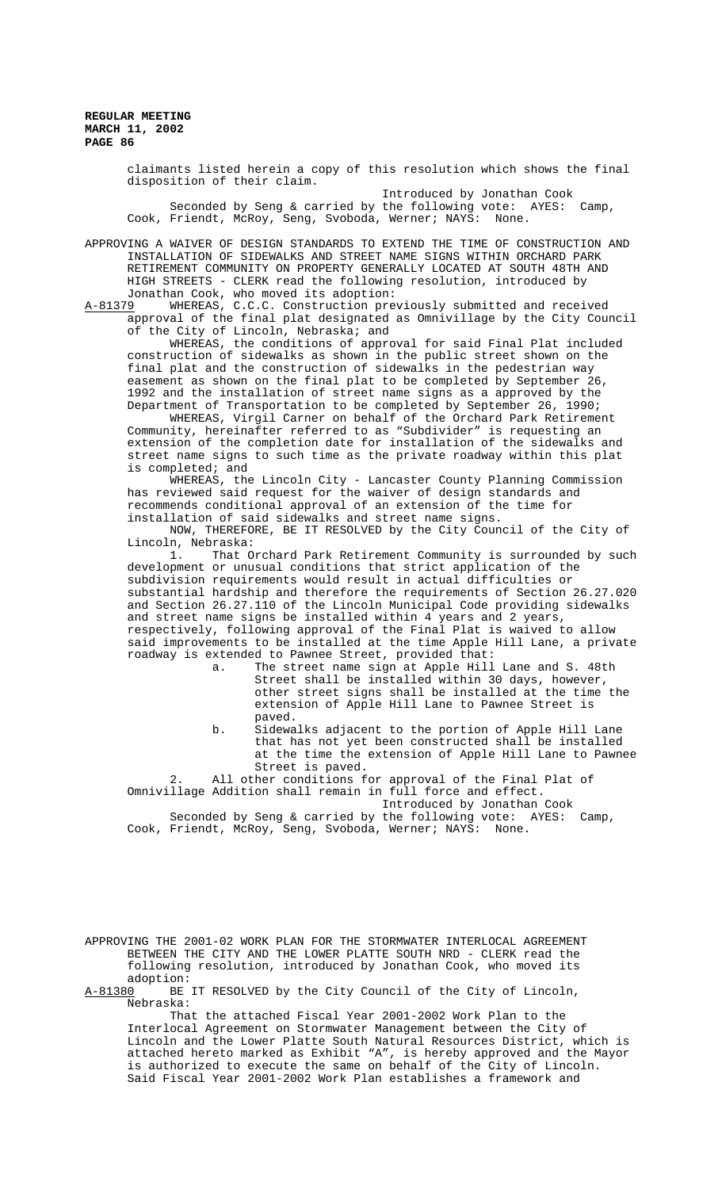> claimants listed herein a copy of this resolution which shows the final disposition of their claim.

Introduced by Jonathan Cook Seconded by Seng & carried by the following vote: AYES: Camp, Cook, Friendt, McRoy, Seng, Svoboda, Werner; NAYS: None.

APPROVING A WAIVER OF DESIGN STANDARDS TO EXTEND THE TIME OF CONSTRUCTION AND INSTALLATION OF SIDEWALKS AND STREET NAME SIGNS WITHIN ORCHARD PARK RETIREMENT COMMUNITY ON PROPERTY GENERALLY LOCATED AT SOUTH 48TH AND HIGH STREETS - CLERK read the following resolution, introduced by Jonathan Cook, who moved its adoption:<br>A-81379 WHEREAS, C.C.C. Construction pre

WHEREAS, C.C.C. Construction previously submitted and received approval of the final plat designated as Omnivillage by the City Council of the City of Lincoln, Nebraska; and

WHEREAS, the conditions of approval for said Final Plat included construction of sidewalks as shown in the public street shown on the final plat and the construction of sidewalks in the pedestrian way easement as shown on the final plat to be completed by September 26, 1992 and the installation of street name signs as a approved by the Department of Transportation to be completed by September 26, 1990;

WHEREAS, Virgil Carner on behalf of the Orchard Park Retirement Community, hereinafter referred to as "Subdivider" is requesting an extension of the completion date for installation of the sidewalks and street name signs to such time as the private roadway within this plat is completed; and

WHEREAS, the Lincoln City - Lancaster County Planning Commission has reviewed said request for the waiver of design standards and recommends conditional approval of an extension of the time for installation of said sidewalks and street name signs.

NOW, THEREFORE, BE IT RESOLVED by the City Council of the City of Lincoln, Nebraska:

1. That Orchard Park Retirement Community is surrounded by such development or unusual conditions that strict application of the subdivision requirements would result in actual difficulties or substantial hardship and therefore the requirements of Section 26.27.020 and Section 26.27.110 of the Lincoln Municipal Code providing sidewalks and street name signs be installed within 4 years and 2 years, respectively, following approval of the Final Plat is waived to allow said improvements to be installed at the time Apple Hill Lane, a private roadway is extended to Pawnee Street, provided that:

- a. The street name sign at Apple Hill Lane and S. 48th Street shall be installed within 30 days, however, other street signs shall be installed at the time the extension of Apple Hill Lane to Pawnee Street is paved.
- b. Sidewalks adjacent to the portion of Apple Hill Lane that has not yet been constructed shall be installed at the time the extension of Apple Hill Lane to Pawnee Street is paved.

2. All other conditions for approval of the Final Plat of Omnivillage Addition shall remain in full force and effect. Introduced by Jonathan Cook

Seconded by Seng & carried by the following vote: AYES: Camp, Cook, Friendt, McRoy, Seng, Svoboda, Werner; NAYS: None.

APPROVING THE 2001-02 WORK PLAN FOR THE STORMWATER INTERLOCAL AGREEMENT BETWEEN THE CITY AND THE LOWER PLATTE SOUTH NRD - CLERK read the following resolution, introduced by Jonathan Cook, who moved its

adoption:<br>A-81380 BE BE IT RESOLVED by the City Council of the City of Lincoln, Nebraska:

That the attached Fiscal Year 2001-2002 Work Plan to the Interlocal Agreement on Stormwater Management between the City of Lincoln and the Lower Platte South Natural Resources District, which is attached hereto marked as Exhibit "A", is hereby approved and the Mayor is authorized to execute the same on behalf of the City of Lincoln. Said Fiscal Year 2001-2002 Work Plan establishes a framework and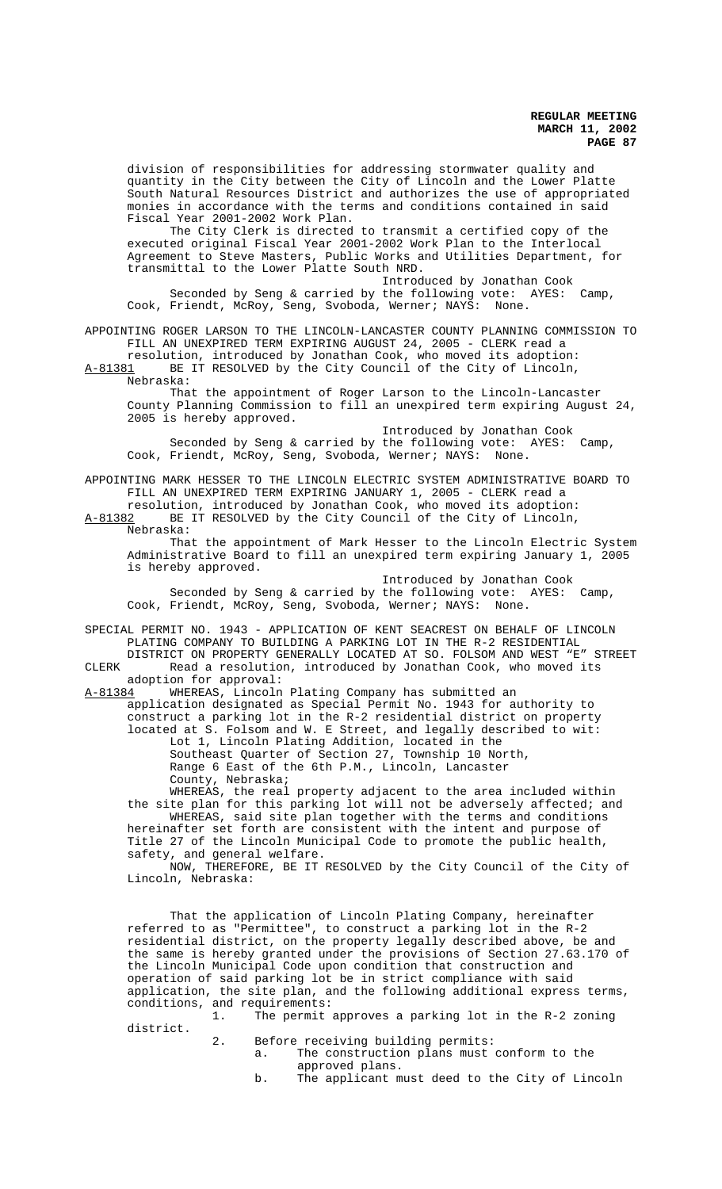division of responsibilities for addressing stormwater quality and quantity in the City between the City of Lincoln and the Lower Platte South Natural Resources District and authorizes the use of appropriated monies in accordance with the terms and conditions contained in said Fiscal Year 2001-2002 Work Plan.

The City Clerk is directed to transmit a certified copy of the executed original Fiscal Year 2001-2002 Work Plan to the Interlocal Agreement to Steve Masters, Public Works and Utilities Department, for transmittal to the Lower Platte South NRD.

Introduced by Jonathan Cook Seconded by Seng & carried by the following vote: AYES: Camp, Cook, Friendt, McRoy, Seng, Svoboda, Werner; NAYS: None.

APPOINTING ROGER LARSON TO THE LINCOLN-LANCASTER COUNTY PLANNING COMMISSION TO FILL AN UNEXPIRED TERM EXPIRING AUGUST 24, 2005 - CLERK read a resolution, introduced by Jonathan Cook, who moved its adoption:

A-81381 BE IT RESOLVED by the City Council of the City of Lincoln, Nebraska:

That the appointment of Roger Larson to the Lincoln-Lancaster County Planning Commission to fill an unexpired term expiring August 24, 2005 is hereby approved.

Introduced by Jonathan Cook Seconded by Seng & carried by the following vote: AYES: Camp, Cook, Friendt, McRoy, Seng, Svoboda, Werner; NAYS: None.

APPOINTING MARK HESSER TO THE LINCOLN ELECTRIC SYSTEM ADMINISTRATIVE BOARD TO FILL AN UNEXPIRED TERM EXPIRING JANUARY 1, 2005 - CLERK read a

resolution, introduced by Jonathan Cook, who moved its adoption: A-81382 BE IT RESOLVED by the City Council of the City of Lincoln, Nebraska:

That the appointment of Mark Hesser to the Lincoln Electric System Administrative Board to fill an unexpired term expiring January 1, 2005 is hereby approved.

Introduced by Jonathan Cook Seconded by Seng & carried by the following vote: AYES: Camp, Cook, Friendt, McRoy, Seng, Svoboda, Werner; NAYS: None.

SPECIAL PERMIT NO. 1943 - APPLICATION OF KENT SEACREST ON BEHALF OF LINCOLN PLATING COMPANY TO BUILDING A PARKING LOT IN THE R-2 RESIDENTIAL DISTRICT ON PROPERTY GENERALLY LOCATED AT SO. FOLSOM AND WEST "E" STREET CLERK Read a resolution, introduced by Jonathan Cook, who moved its

adoption for approval:

A-81384 WHEREAS, Lincoln Plating Company has submitted an application designated as Special Permit No. 1943 for authority to construct a parking lot in the R-2 residential district on property located at S. Folsom and W. E Street, and legally described to wit: Lot 1, Lincoln Plating Addition, located in the Southeast Quarter of Section 27, Township 10 North, Range 6 East of the 6th P.M., Lincoln, Lancaster County, Nebraska; WHEREAS, the real property adjacent to the area included within

the site plan for this parking lot will not be adversely affected; and WHEREAS, said site plan together with the terms and conditions hereinafter set forth are consistent with the intent and purpose of Title 27 of the Lincoln Municipal Code to promote the public health, safety, and general welfare.

NOW, THEREFORE, BE IT RESOLVED by the City Council of the City of Lincoln, Nebraska:

That the application of Lincoln Plating Company, hereinafter referred to as "Permittee", to construct a parking lot in the R-2 residential district, on the property legally described above, be and the same is hereby granted under the provisions of Section 27.63.170 of the Lincoln Municipal Code upon condition that construction and operation of said parking lot be in strict compliance with said application, the site plan, and the following additional express terms, conditions, and requirements:

1. The permit approves a parking lot in the R-2 zoning district.

2. Before receiving building permits:

- a. The construction plans must conform to the approved plans.
- b. The applicant must deed to the City of Lincoln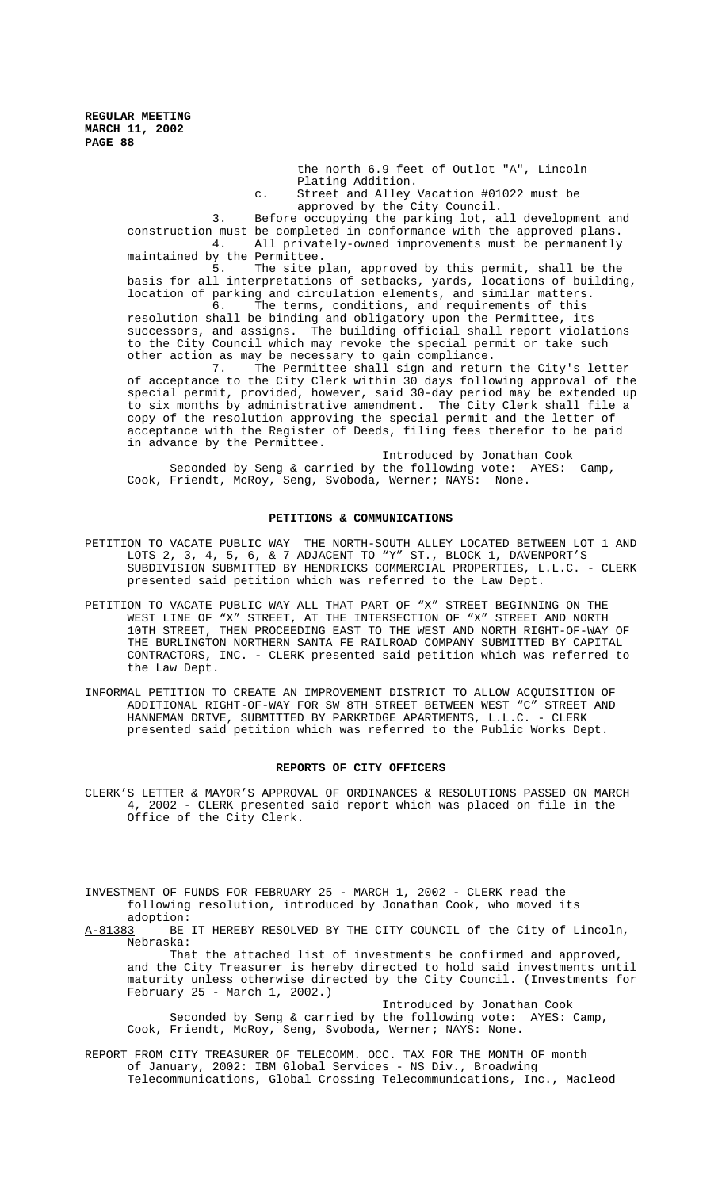the north 6.9 feet of Outlot "A", Lincoln Plating Addition.

c. Street and Alley Vacation #01022 must be approved by the City Council.

3. Before occupying the parking lot, all development and construction must be completed in conformance with the approved plans. 4. All privately-owned improvements must be permanently maintained by the Permittee.

5. The site plan, approved by this permit, shall be the basis for all interpretations of setbacks, yards, locations of building, location of parking and circulation elements, and similar matters.

6. The terms, conditions, and requirements of this resolution shall be binding and obligatory upon the Permittee, its successors, and assigns. The building official shall report violations to the City Council which may revoke the special permit or take such other action as may be necessary to gain compliance.

7. The Permittee shall sign and return the City's letter of acceptance to the City Clerk within 30 days following approval of the special permit, provided, however, said 30-day period may be extended up to six months by administrative amendment. The City Clerk shall file a copy of the resolution approving the special permit and the letter of acceptance with the Register of Deeds, filing fees therefor to be paid in advance by the Permittee.

Introduced by Jonathan Cook Seconded by Seng & carried by the following vote: AYES: Camp, Cook, Friendt, McRoy, Seng, Svoboda, Werner; NAYS: None.

### **PETITIONS & COMMUNICATIONS**

- PETITION TO VACATE PUBLIC WAY THE NORTH-SOUTH ALLEY LOCATED BETWEEN LOT 1 AND LOTS 2, 3, 4, 5, 6, & 7 ADJACENT TO "Y" ST., BLOCK 1, DAVENPORT'S SUBDIVISION SUBMITTED BY HENDRICKS COMMERCIAL PROPERTIES, L.L.C. - CLERK presented said petition which was referred to the Law Dept.
- PETITION TO VACATE PUBLIC WAY ALL THAT PART OF "X" STREET BEGINNING ON THE WEST LINE OF "X" STREET, AT THE INTERSECTION OF "X" STREET AND NORTH 10TH STREET, THEN PROCEEDING EAST TO THE WEST AND NORTH RIGHT-OF-WAY OF THE BURLINGTON NORTHERN SANTA FE RAILROAD COMPANY SUBMITTED BY CAPITAL CONTRACTORS, INC. - CLERK presented said petition which was referred to the Law Dept.
- INFORMAL PETITION TO CREATE AN IMPROVEMENT DISTRICT TO ALLOW ACQUISITION OF ADDITIONAL RIGHT-OF-WAY FOR SW 8TH STREET BETWEEN WEST "C" STREET AND HANNEMAN DRIVE, SUBMITTED BY PARKRIDGE APARTMENTS, L.L.C. - CLERK presented said petition which was referred to the Public Works Dept.

### **REPORTS OF CITY OFFICERS**

CLERK'S LETTER & MAYOR'S APPROVAL OF ORDINANCES & RESOLUTIONS PASSED ON MARCH 4, 2002 - CLERK presented said report which was placed on file in the Office of the City Clerk.

INVESTMENT OF FUNDS FOR FEBRUARY 25 - MARCH 1, 2002 - CLERK read the following resolution, introduced by Jonathan Cook, who moved its adoption:

A-81383 BE IT HEREBY RESOLVED BY THE CITY COUNCIL of the City of Lincoln, Nebraska:

That the attached list of investments be confirmed and approved, and the City Treasurer is hereby directed to hold said investments until maturity unless otherwise directed by the City Council. (Investments for February 25 - March 1, 2002.)

Introduced by Jonathan Cook Seconded by Seng & carried by the following vote: AYES: Camp, Cook, Friendt, McRoy, Seng, Svoboda, Werner; NAYS: None.

REPORT FROM CITY TREASURER OF TELECOMM. OCC. TAX FOR THE MONTH OF month of January, 2002: IBM Global Services - NS Div., Broadwing Telecommunications, Global Crossing Telecommunications, Inc., Macleod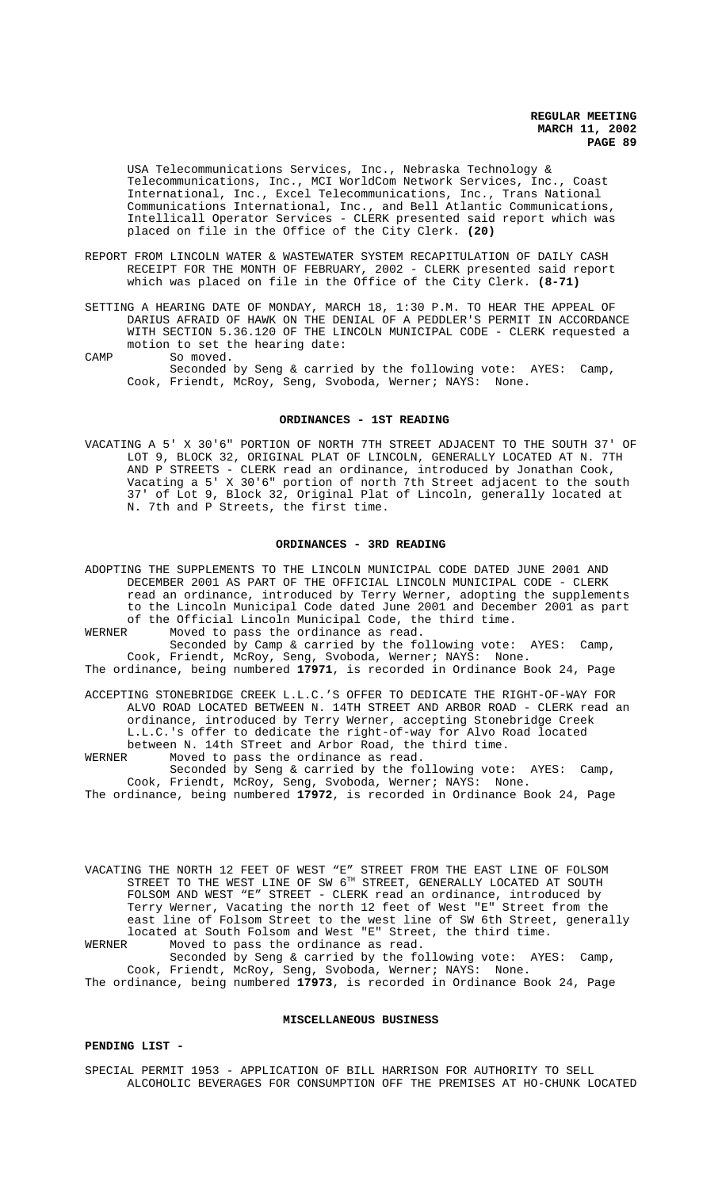USA Telecommunications Services, Inc., Nebraska Technology & Telecommunications, Inc., MCI WorldCom Network Services, Inc., Coast International, Inc., Excel Telecommunications, Inc., Trans National Communications International, Inc., and Bell Atlantic Communications, Intellicall Operator Services - CLERK presented said report which was placed on file in the Office of the City Clerk. **(20)**

- REPORT FROM LINCOLN WATER & WASTEWATER SYSTEM RECAPITULATION OF DAILY CASH RECEIPT FOR THE MONTH OF FEBRUARY, 2002 - CLERK presented said report which was placed on file in the Office of the City Clerk. **(8-71)**
- SETTING A HEARING DATE OF MONDAY, MARCH 18, 1:30 P.M. TO HEAR THE APPEAL OF DARIUS AFRAID OF HAWK ON THE DENIAL OF A PEDDLER'S PERMIT IN ACCORDANCE WITH SECTION 5.36.120 OF THE LINCOLN MUNICIPAL CODE - CLERK requested a motion to set the hearing date:
- CAMP So moved. Seconded by Seng & carried by the following vote: AYES: Camp, Cook, Friendt, McRoy, Seng, Svoboda, Werner; NAYS: None.

### **ORDINANCES - 1ST READING**

VACATING A 5' X 30'6" PORTION OF NORTH 7TH STREET ADJACENT TO THE SOUTH 37' OF LOT 9, BLOCK 32, ORIGINAL PLAT OF LINCOLN, GENERALLY LOCATED AT N. 7TH AND P STREETS - CLERK read an ordinance, introduced by Jonathan Cook, Vacating a 5' X 30'6" portion of north 7th Street adjacent to the south 37' of Lot 9, Block 32, Original Plat of Lincoln, generally located at N. 7th and P Streets, the first time.

### **ORDINANCES - 3RD READING**

ADOPTING THE SUPPLEMENTS TO THE LINCOLN MUNICIPAL CODE DATED JUNE 2001 AND DECEMBER 2001 AS PART OF THE OFFICIAL LINCOLN MUNICIPAL CODE - CLERK read an ordinance, introduced by Terry Werner, adopting the supplements to the Lincoln Municipal Code dated June 2001 and December 2001 as part of the Official Lincoln Municipal Code, the third time. WERNER Moved to pass the ordinance as read.

Seconded by Camp & carried by the following vote: AYES: Camp, Cook, Friendt, McRoy, Seng, Svoboda, Werner; NAYS: None. The ordinance, being numbered **17971**, is recorded in Ordinance Book 24, Page

ACCEPTING STONEBRIDGE CREEK L.L.C.'S OFFER TO DEDICATE THE RIGHT-OF-WAY FOR ALVO ROAD LOCATED BETWEEN N. 14TH STREET AND ARBOR ROAD - CLERK read an ordinance, introduced by Terry Werner, accepting Stonebridge Creek L.L.C.'s offer to dedicate the right-of-way for Alvo Road located between N. 14th STreet and Arbor Road, the third time.<br>WERNER Moved to pass the ordinance as read. Moved to pass the ordinance as read.

Seconded by Seng & carried by the following vote: AYES: Camp, Cook, Friendt, McRoy, Seng, Svoboda, Werner; NAYS: None.

The ordinance, being numbered **17972**, is recorded in Ordinance Book 24, Page

VACATING THE NORTH 12 FEET OF WEST "E" STREET FROM THE EAST LINE OF FOLSOM STREET TO THE WEST LINE OF SW 6TH STREET, GENERALLY LOCATED AT SOUTH FOLSOM AND WEST "E" STREET - CLERK read an ordinance, introduced by Terry Werner, Vacating the north 12 feet of West "E" Street from the east line of Folsom Street to the west line of SW 6th Street, generally located at South Folsom and West "E" Street, the third time.<br>WERNER Moved to pass the ordinance as read. Moved to pass the ordinance as read.

Seconded by Seng & carried by the following vote: AYES: Camp, Cook, Friendt, McRoy, Seng, Svoboda, Werner; NAYS: None. The ordinance, being numbered **17973**, is recorded in Ordinance Book 24, Page

#### **MISCELLANEOUS BUSINESS**

# **PENDING LIST -**

SPECIAL PERMIT 1953 - APPLICATION OF BILL HARRISON FOR AUTHORITY TO SELL ALCOHOLIC BEVERAGES FOR CONSUMPTION OFF THE PREMISES AT HO-CHUNK LOCATED